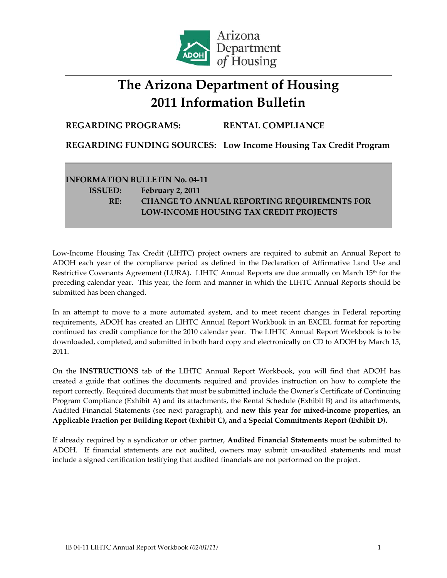

## **The Arizona Department of Housing 2011 Information Bulletin**

**REGARDING PROGRAMS: RENTAL COMPLIANCE**

**REGARDING FUNDING SOURCES: Low Income Housing Tax Credit Program**

## **INFORMATION BULLETIN No. 04‐11 ISSUED: February 2, 2011 RE: CHANGE TO ANNUAL REPORTING REQUIREMENTS FOR LOW‐INCOME HOUSING TAX CREDIT PROJECTS**

Low‐Income Housing Tax Credit (LIHTC) project owners are required to submit an Annual Report to ADOH each year of the compliance period as defined in the Declaration of Affirmative Land Use and Restrictive Covenants Agreement (LURA). LIHTC Annual Reports are due annually on March 15<sup>th</sup> for the preceding calendar year. This year, the form and manner in which the LIHTC Annual Reports should be submitted has been changed.

In an attempt to move to a more automated system, and to meet recent changes in Federal reporting requirements, ADOH has created an LIHTC Annual Report Workbook in an EXCEL format for reporting continued tax credit compliance for the 2010 calendar year. The LIHTC Annual Report Workbook is to be downloaded, completed, and submitted in both hard copy and electronically on CD to ADOH by March 15, 2011.

On the **INSTRUCTIONS** tab of the LIHTC Annual Report Workbook, you will find that ADOH has created a guide that outlines the documents required and provides instruction on how to complete the report correctly. Required documents that must be submitted include the Owner's Certificate of Continuing Program Compliance (Exhibit A) and its attachments, the Rental Schedule (Exhibit B) and its attachments, Audited Financial Statements (see next paragraph), and **new this year for mixed‐income properties, an Applicable Fraction per Building Report (Exhibit C), and a Special Commitments Report (Exhibit D).**

If already required by a syndicator or other partner, **Audited Financial Statements** must be submitted to ADOH. If financial statements are not audited, owners may submit un-audited statements and must include a signed certification testifying that audited financials are not performed on the project.